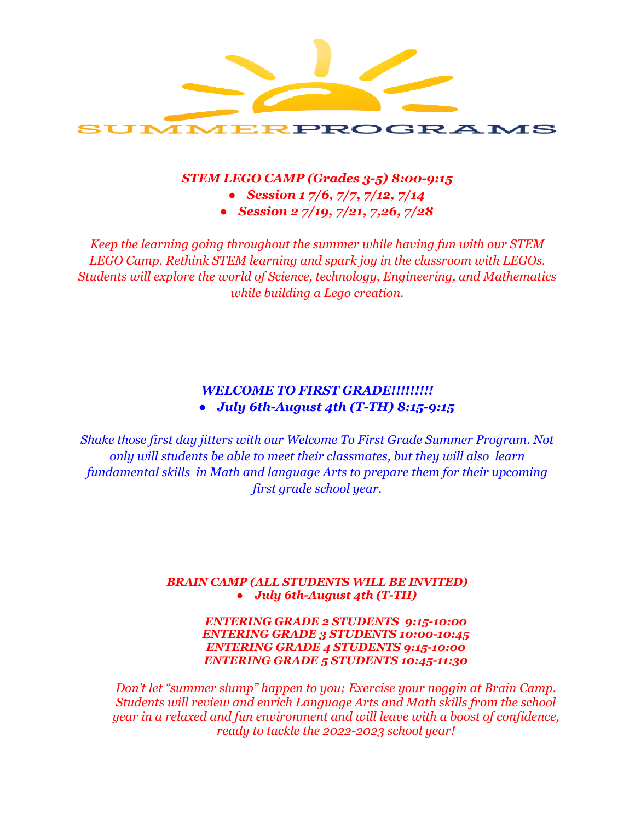

### *STEM LEGO CAMP (Grades 3-5) 8:00-9:15*

- *● Session 1 7/6, 7/7, 7/12, 7/14*
- *● Session 2 7/19, 7/21, 7,26, 7/28*

*Keep the learning going throughout the summer while having fun with our STEM LEGO Camp. Rethink STEM learning and spark joy in the classroom with LEGOs. Students will explore the world of Science, technology, Engineering, and Mathematics while building a Lego creation.*

# *WELCOME TO FIRST GRADE!!!!!!!!! ● July 6th-August 4th (T-TH) 8:15-9:15*

*Shake those first day jitters with our Welcome To First Grade Summer Program. Not only will students be able to meet their classmates, but they will also learn fundamental skills in Math and language Arts to prepare them for their upcoming first grade school year.*

#### *BRAIN CAMP (ALL STUDENTS WILL BE INVITED) ● July 6th-August 4th (T-TH)*

#### *ENTERING GRADE 2 STUDENTS 9:15-10:00 ENTERING GRADE 3 STUDENTS 10:00-10:45 ENTERING GRADE 4 STUDENTS 9:15-10:00 ENTERING GRADE 5 STUDENTS 10:45-11:30*

*Don't let "summer slump" happen to you; Exercise your noggin at Brain Camp. Students will review and enrich Language Arts and Math skills from the school year in a relaxed and fun environment and will leave with a boost of confidence, ready to tackle the 2022-2023 school year!*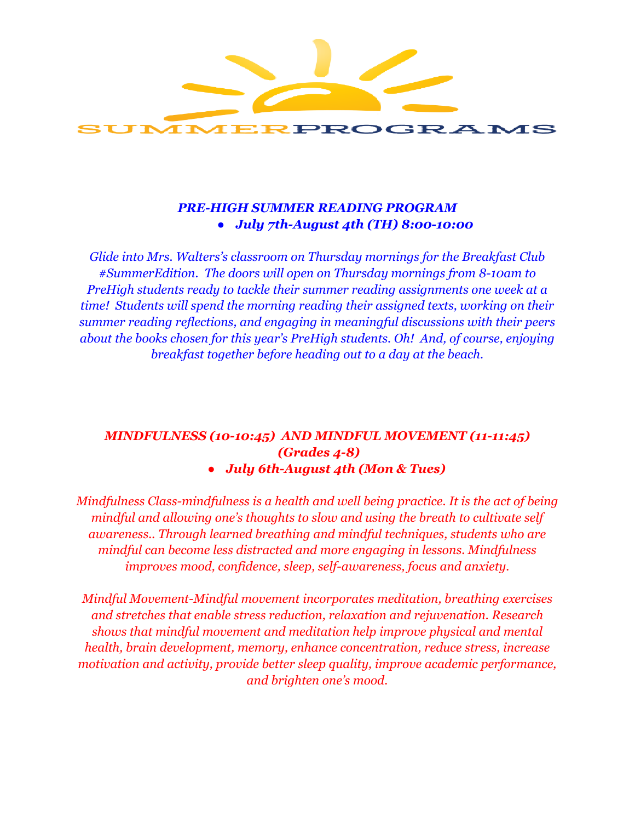

# *PRE-HIGH SUMMER READING PROGRAM ● July 7th-August 4th (TH) 8:00-10:00*

*Glide into Mrs. Walters's classroom on Thursday mornings for the Breakfast Club #SummerEdition. The doors will open on Thursday mornings from 8-10am to PreHigh students ready to tackle their summer reading assignments one week at a time! Students will spend the morning reading their assigned texts, working on their summer reading reflections, and engaging in meaningful discussions with their peers about the books chosen for this year's PreHigh students. Oh! And, of course, enjoying breakfast together before heading out to a day at the beach.*

# *MINDFULNESS (10-10:45) AND MINDFUL MOVEMENT (11-11:45) (Grades 4-8)*

## *● July 6th-August 4th (Mon & Tues)*

*Mindfulness Class-mindfulness is a health and well being practice. It is the act of being mindful and allowing one's thoughts to slow and using the breath to cultivate self awareness.. Through learned breathing and mindful techniques, students who are mindful can become less distracted and more engaging in lessons. Mindfulness improves mood, confidence, sleep, self-awareness, focus and anxiety.*

*Mindful Movement-Mindful movement incorporates meditation, breathing exercises and stretches that enable stress reduction, relaxation and rejuvenation. Research shows that mindful movement and meditation help improve physical and mental health, brain development, memory, enhance concentration, reduce stress, increase motivation and activity, provide better sleep quality, improve academic performance, and brighten one's mood.*